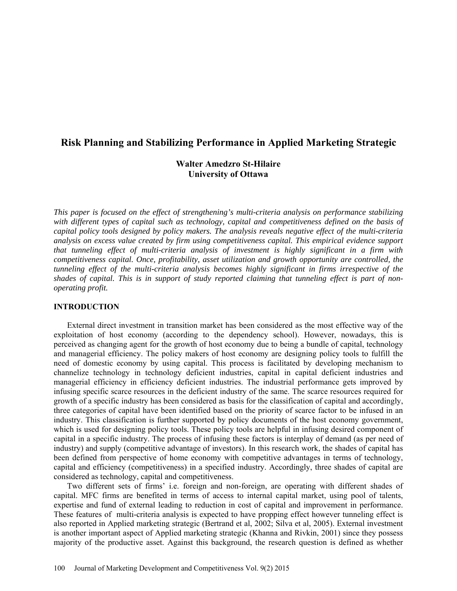# **Risk Planning and Stabilizing Performance in Applied Marketing Strategic**

# **Walter Amedzro St-Hilaire University of Ottawa**

*This paper is focused on the effect of strengthening's multi-criteria analysis on performance stabilizing with different types of capital such as technology, capital and competitiveness defined on the basis of capital policy tools designed by policy makers. The analysis reveals negative effect of the multi-criteria analysis on excess value created by firm using competitiveness capital. This empirical evidence support that tunneling effect of multi-criteria analysis of investment is highly significant in a firm with competitiveness capital. Once, profitability, asset utilization and growth opportunity are controlled, the tunneling effect of the multi-criteria analysis becomes highly significant in firms irrespective of the shades of capital. This is in support of study reported claiming that tunneling effect is part of nonoperating profit.* 

### **INTRODUCTION**

External direct investment in transition market has been considered as the most effective way of the exploitation of host economy (according to the dependency school). However, nowadays, this is perceived as changing agent for the growth of host economy due to being a bundle of capital, technology and managerial efficiency. The policy makers of host economy are designing policy tools to fulfill the need of domestic economy by using capital. This process is facilitated by developing mechanism to channelize technology in technology deficient industries, capital in capital deficient industries and managerial efficiency in efficiency deficient industries. The industrial performance gets improved by infusing specific scarce resources in the deficient industry of the same. The scarce resources required for growth of a specific industry has been considered as basis for the classification of capital and accordingly, three categories of capital have been identified based on the priority of scarce factor to be infused in an industry. This classification is further supported by policy documents of the host economy government, which is used for designing policy tools. These policy tools are helpful in infusing desired component of capital in a specific industry. The process of infusing these factors is interplay of demand (as per need of industry) and supply (competitive advantage of investors). In this research work, the shades of capital has been defined from perspective of home economy with competitive advantages in terms of technology, capital and efficiency (competitiveness) in a specified industry. Accordingly, three shades of capital are considered as technology, capital and competitiveness.

Two different sets of firms' i.e. foreign and non-foreign, are operating with different shades of capital. MFC firms are benefited in terms of access to internal capital market, using pool of talents, expertise and fund of external leading to reduction in cost of capital and improvement in performance. These features of multi-criteria analysis is expected to have propping effect however tunneling effect is also reported in Applied marketing strategic (Bertrand et al, 2002; Silva et al, 2005). External investment is another important aspect of Applied marketing strategic (Khanna and Rivkin, 2001) since they possess majority of the productive asset. Against this background, the research question is defined as whether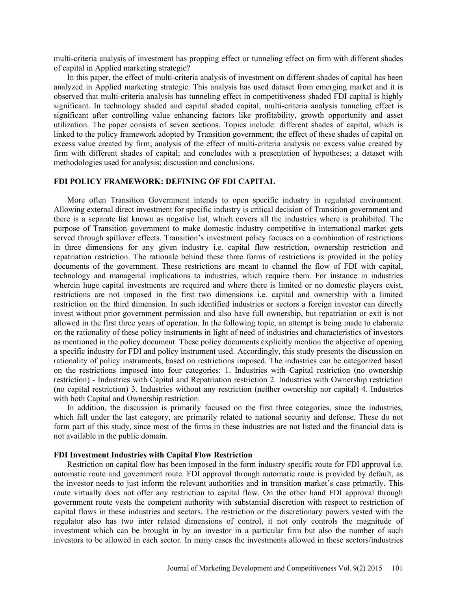multi-criteria analysis of investment has propping effect or tunneling effect on firm with different shades of capital in Applied marketing strategic?

In this paper, the effect of multi-criteria analysis of investment on different shades of capital has been analyzed in Applied marketing strategic. This analysis has used dataset from emerging market and it is observed that multi-criteria analysis has tunneling effect in competitiveness shaded FDI capital is highly significant. In technology shaded and capital shaded capital, multi-criteria analysis tunneling effect is significant after controlling value enhancing factors like profitability, growth opportunity and asset utilization. The paper consists of seven sections. Topics include: different shades of capital, which is linked to the policy framework adopted by Transition government; the effect of these shades of capital on excess value created by firm; analysis of the effect of multi-criteria analysis on excess value created by firm with different shades of capital; and concludes with a presentation of hypotheses; a dataset with methodologies used for analysis; discussion and conclusions.

### **FDI POLICY FRAMEWORK: DEFINING OF FDI CAPITAL**

More often Transition Government intends to open specific industry in regulated environment. Allowing external direct investment for specific industry is critical decision of Transition government and there is a separate list known as negative list, which covers all the industries where is prohibited. The purpose of Transition government to make domestic industry competitive in international market gets served through spillover effects. Transition's investment policy focuses on a combination of restrictions in three dimensions for any given industry i.e. capital flow restriction, ownership restriction and repatriation restriction. The rationale behind these three forms of restrictions is provided in the policy documents of the government. These restrictions are meant to channel the flow of FDI with capital, technology and managerial implications to industries, which require them. For instance in industries wherein huge capital investments are required and where there is limited or no domestic players exist, restrictions are not imposed in the first two dimensions i.e. capital and ownership with a limited restriction on the third dimension. In such identified industries or sectors a foreign investor can directly invest without prior government permission and also have full ownership, but repatriation or exit is not allowed in the first three years of operation. In the following topic, an attempt is being made to elaborate on the rationality of these policy instruments in light of need of industries and characteristics of investors as mentioned in the policy document. These policy documents explicitly mention the objective of opening a specific industry for FDI and policy instrument used. Accordingly, this study presents the discussion on rationality of policy instruments, based on restrictions imposed. The industries can be categorized based on the restrictions imposed into four categories: 1. Industries with Capital restriction (no ownership restriction) - Industries with Capital and Repatriation restriction 2. Industries with Ownership restriction (no capital restriction) 3. Industries without any restriction (neither ownership nor capital) 4. Industries with both Capital and Ownership restriction.

In addition, the discussion is primarily focused on the first three categories, since the industries, which fall under the last category, are primarily related to national security and defense. These do not form part of this study, since most of the firms in these industries are not listed and the financial data is not available in the public domain.

### **FDI Investment Industries with Capital Flow Restriction**

Restriction on capital flow has been imposed in the form industry specific route for FDI approval i.e. automatic route and government route. FDI approval through automatic route is provided by default, as the investor needs to just inform the relevant authorities and in transition market's case primarily. This route virtually does not offer any restriction to capital flow. On the other hand FDI approval through government route vests the competent authority with substantial discretion with respect to restriction of capital flows in these industries and sectors. The restriction or the discretionary powers vested with the regulator also has two inter related dimensions of control, it not only controls the magnitude of investment which can be brought in by an investor in a particular firm but also the number of such investors to be allowed in each sector. In many cases the investments allowed in these sectors/industries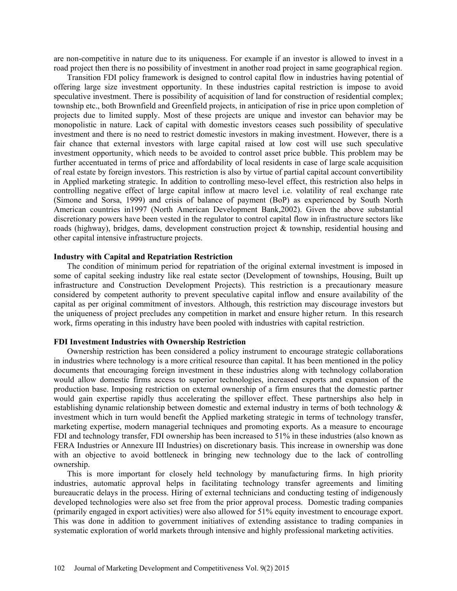are non-competitive in nature due to its uniqueness. For example if an investor is allowed to invest in a road project then there is no possibility of investment in another road project in same geographical region.

Transition FDI policy framework is designed to control capital flow in industries having potential of offering large size investment opportunity. In these industries capital restriction is impose to avoid speculative investment. There is possibility of acquisition of land for construction of residential complex; township etc., both Brownfield and Greenfield projects, in anticipation of rise in price upon completion of projects due to limited supply. Most of these projects are unique and investor can behavior may be monopolistic in nature. Lack of capital with domestic investors ceases such possibility of speculative investment and there is no need to restrict domestic investors in making investment. However, there is a fair chance that external investors with large capital raised at low cost will use such speculative investment opportunity, which needs to be avoided to control asset price bubble. This problem may be further accentuated in terms of price and affordability of local residents in case of large scale acquisition of real estate by foreign investors. This restriction is also by virtue of partial capital account convertibility in Applied marketing strategic. In addition to controlling meso-level effect, this restriction also helps in controlling negative effect of large capital inflow at macro level i.e. volatility of real exchange rate (Simone and Sorsa, 1999) and crisis of balance of payment (BoP) as experienced by South North American countries in1997 (North American Development Bank,2002). Given the above substantial discretionary powers have been vested in the regulator to control capital flow in infrastructure sectors like roads (highway), bridges, dams, development construction project & township, residential housing and other capital intensive infrastructure projects.

### **Industry with Capital and Repatriation Restriction**

The condition of minimum period for repatriation of the original external investment is imposed in some of capital seeking industry like real estate sector (Development of townships, Housing, Built up infrastructure and Construction Development Projects). This restriction is a precautionary measure considered by competent authority to prevent speculative capital inflow and ensure availability of the capital as per original commitment of investors. Although, this restriction may discourage investors but the uniqueness of project precludes any competition in market and ensure higher return. In this research work, firms operating in this industry have been pooled with industries with capital restriction.

### **FDI Investment Industries with Ownership Restriction**

Ownership restriction has been considered a policy instrument to encourage strategic collaborations in industries where technology is a more critical resource than capital. It has been mentioned in the policy documents that encouraging foreign investment in these industries along with technology collaboration would allow domestic firms access to superior technologies, increased exports and expansion of the production base. Imposing restriction on external ownership of a firm ensures that the domestic partner would gain expertise rapidly thus accelerating the spillover effect. These partnerships also help in establishing dynamic relationship between domestic and external industry in terms of both technology & investment which in turn would benefit the Applied marketing strategic in terms of technology transfer, marketing expertise, modern managerial techniques and promoting exports. As a measure to encourage FDI and technology transfer, FDI ownership has been increased to 51% in these industries (also known as FERA Industries or Annexure III Industries) on discretionary basis. This increase in ownership was done with an objective to avoid bottleneck in bringing new technology due to the lack of controlling ownership.

This is more important for closely held technology by manufacturing firms. In high priority industries, automatic approval helps in facilitating technology transfer agreements and limiting bureaucratic delays in the process. Hiring of external technicians and conducting testing of indigenously developed technologies were also set free from the prior approval process. Domestic trading companies (primarily engaged in export activities) were also allowed for 51% equity investment to encourage export. This was done in addition to government initiatives of extending assistance to trading companies in systematic exploration of world markets through intensive and highly professional marketing activities.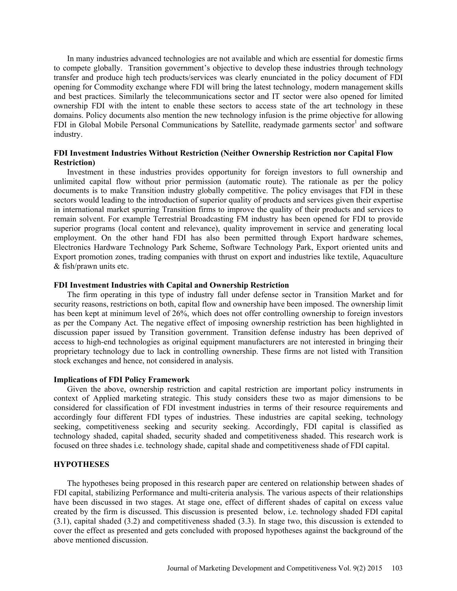In many industries advanced technologies are not available and which are essential for domestic firms to compete globally. Transition government's objective to develop these industries through technology transfer and produce high tech products/services was clearly enunciated in the policy document of FDI opening for Commodity exchange where FDI will bring the latest technology, modern management skills and best practices. Similarly the telecommunications sector and IT sector were also opened for limited ownership FDI with the intent to enable these sectors to access state of the art technology in these domains. Policy documents also mention the new technology infusion is the prime objective for allowing FDI in Global Mobile Personal Communications by Satellite, readymade garments sector<sup>1</sup> and software industry.

# **FDI Investment Industries Without Restriction (Neither Ownership Restriction nor Capital Flow Restriction)**

Investment in these industries provides opportunity for foreign investors to full ownership and unlimited capital flow without prior permission (automatic route). The rationale as per the policy documents is to make Transition industry globally competitive. The policy envisages that FDI in these sectors would leading to the introduction of superior quality of products and services given their expertise in international market spurring Transition firms to improve the quality of their products and services to remain solvent. For example Terrestrial Broadcasting FM industry has been opened for FDI to provide superior programs (local content and relevance), quality improvement in service and generating local employment. On the other hand FDI has also been permitted through Export hardware schemes, Electronics Hardware Technology Park Scheme, Software Technology Park, Export oriented units and Export promotion zones, trading companies with thrust on export and industries like textile, Aquaculture & fish/prawn units etc.

### **FDI Investment Industries with Capital and Ownership Restriction**

The firm operating in this type of industry fall under defense sector in Transition Market and for security reasons, restrictions on both, capital flow and ownership have been imposed. The ownership limit has been kept at minimum level of 26%, which does not offer controlling ownership to foreign investors as per the Company Act. The negative effect of imposing ownership restriction has been highlighted in discussion paper issued by Transition government. Transition defense industry has been deprived of access to high-end technologies as original equipment manufacturers are not interested in bringing their proprietary technology due to lack in controlling ownership. These firms are not listed with Transition stock exchanges and hence, not considered in analysis.

### **Implications of FDI Policy Framework**

Given the above, ownership restriction and capital restriction are important policy instruments in context of Applied marketing strategic. This study considers these two as major dimensions to be considered for classification of FDI investment industries in terms of their resource requirements and accordingly four different FDI types of industries. These industries are capital seeking, technology seeking, competitiveness seeking and security seeking. Accordingly, FDI capital is classified as technology shaded, capital shaded, security shaded and competitiveness shaded. This research work is focused on three shades i.e. technology shade, capital shade and competitiveness shade of FDI capital.

## **HYPOTHESES**

The hypotheses being proposed in this research paper are centered on relationship between shades of FDI capital, stabilizing Performance and multi-criteria analysis. The various aspects of their relationships have been discussed in two stages. At stage one, effect of different shades of capital on excess value created by the firm is discussed. This discussion is presented below, i.e. technology shaded FDI capital (3.1), capital shaded (3.2) and competitiveness shaded (3.3). In stage two, this discussion is extended to cover the effect as presented and gets concluded with proposed hypotheses against the background of the above mentioned discussion.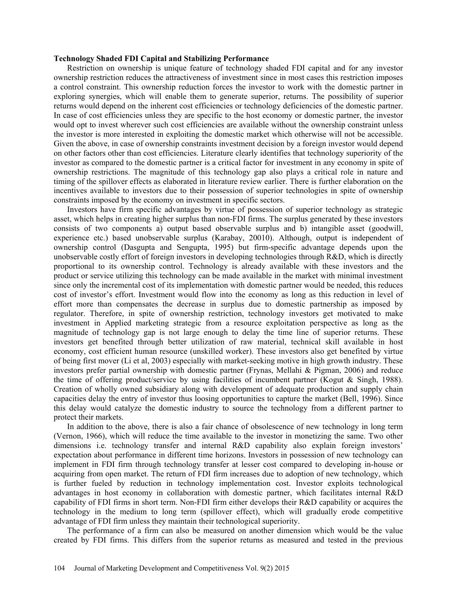#### **Technology Shaded FDI Capital and Stabilizing Performance**

Restriction on ownership is unique feature of technology shaded FDI capital and for any investor ownership restriction reduces the attractiveness of investment since in most cases this restriction imposes a control constraint. This ownership reduction forces the investor to work with the domestic partner in exploring synergies, which will enable them to generate superior, returns. The possibility of superior returns would depend on the inherent cost efficiencies or technology deficiencies of the domestic partner. In case of cost efficiencies unless they are specific to the host economy or domestic partner, the investor would opt to invest wherever such cost efficiencies are available without the ownership constraint unless the investor is more interested in exploiting the domestic market which otherwise will not be accessible. Given the above, in case of ownership constraints investment decision by a foreign investor would depend on other factors other than cost efficiencies. Literature clearly identifies that technology superiority of the investor as compared to the domestic partner is a critical factor for investment in any economy in spite of ownership restrictions. The magnitude of this technology gap also plays a critical role in nature and timing of the spillover effects as elaborated in literature review earlier. There is further elaboration on the incentives available to investors due to their possession of superior technologies in spite of ownership constraints imposed by the economy on investment in specific sectors.

Investors have firm specific advantages by virtue of possession of superior technology as strategic asset, which helps in creating higher surplus than non-FDI firms. The surplus generated by these investors consists of two components a) output based observable surplus and b) intangible asset (goodwill, experience etc.) based unobservable surplus (Karabay, 20010). Although, output is independent of ownership control (Dasgupta and Sengupta, 1995) but firm-specific advantage depends upon the unobservable costly effort of foreign investors in developing technologies through R&D, which is directly proportional to its ownership control. Technology is already available with these investors and the product or service utilizing this technology can be made available in the market with minimal investment since only the incremental cost of its implementation with domestic partner would be needed, this reduces cost of investor's effort. Investment would flow into the economy as long as this reduction in level of effort more than compensates the decrease in surplus due to domestic partnership as imposed by regulator. Therefore, in spite of ownership restriction, technology investors get motivated to make investment in Applied marketing strategic from a resource exploitation perspective as long as the magnitude of technology gap is not large enough to delay the time line of superior returns. These investors get benefited through better utilization of raw material, technical skill available in host economy, cost efficient human resource (unskilled worker). These investors also get benefited by virtue of being first mover (Li et al, 2003) especially with market-seeking motive in high growth industry. These investors prefer partial ownership with domestic partner (Frynas, Mellahi & Pigman, 2006) and reduce the time of offering product/service by using facilities of incumbent partner (Kogut & Singh, 1988). Creation of wholly owned subsidiary along with development of adequate production and supply chain capacities delay the entry of investor thus loosing opportunities to capture the market (Bell, 1996). Since this delay would catalyze the domestic industry to source the technology from a different partner to protect their markets.

In addition to the above, there is also a fair chance of obsolescence of new technology in long term (Vernon, 1966), which will reduce the time available to the investor in monetizing the same. Two other dimensions i.e. technology transfer and internal R&D capability also explain foreign investors' expectation about performance in different time horizons. Investors in possession of new technology can implement in FDI firm through technology transfer at lesser cost compared to developing in-house or acquiring from open market. The return of FDI firm increases due to adoption of new technology, which is further fueled by reduction in technology implementation cost. Investor exploits technological advantages in host economy in collaboration with domestic partner, which facilitates internal R&D capability of FDI firms in short term. Non-FDI firm either develops their R&D capability or acquires the technology in the medium to long term (spillover effect), which will gradually erode competitive advantage of FDI firm unless they maintain their technological superiority.

The performance of a firm can also be measured on another dimension which would be the value created by FDI firms. This differs from the superior returns as measured and tested in the previous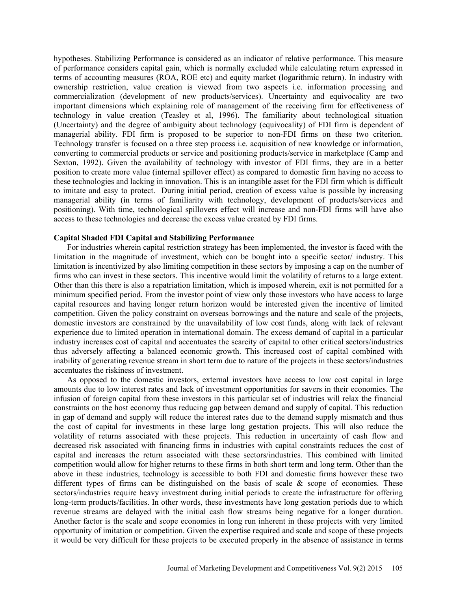hypotheses. Stabilizing Performance is considered as an indicator of relative performance. This measure of performance considers capital gain, which is normally excluded while calculating return expressed in terms of accounting measures (ROA, ROE etc) and equity market (logarithmic return). In industry with ownership restriction, value creation is viewed from two aspects i.e. information processing and commercialization (development of new products/services). Uncertainty and equivocality are two important dimensions which explaining role of management of the receiving firm for effectiveness of technology in value creation (Teasley et al, 1996). The familiarity about technological situation (Uncertainty) and the degree of ambiguity about technology (equivocality) of FDI firm is dependent of managerial ability. FDI firm is proposed to be superior to non-FDI firms on these two criterion. Technology transfer is focused on a three step process i.e. acquisition of new knowledge or information, converting to commercial products or service and positioning products/service in marketplace (Camp and Sexton, 1992). Given the availability of technology with investor of FDI firms, they are in a better position to create more value (internal spillover effect) as compared to domestic firm having no access to these technologies and lacking in innovation. This is an intangible asset for the FDI firm which is difficult to imitate and easy to protect. During initial period, creation of excess value is possible by increasing managerial ability (in terms of familiarity with technology, development of products/services and positioning). With time, technological spillovers effect will increase and non-FDI firms will have also access to these technologies and decrease the excess value created by FDI firms.

#### **Capital Shaded FDI Capital and Stabilizing Performance**

For industries wherein capital restriction strategy has been implemented, the investor is faced with the limitation in the magnitude of investment, which can be bought into a specific sector/ industry. This limitation is incentivized by also limiting competition in these sectors by imposing a cap on the number of firms who can invest in these sectors. This incentive would limit the volatility of returns to a large extent. Other than this there is also a repatriation limitation, which is imposed wherein, exit is not permitted for a minimum specified period. From the investor point of view only those investors who have access to large capital resources and having longer return horizon would be interested given the incentive of limited competition. Given the policy constraint on overseas borrowings and the nature and scale of the projects, domestic investors are constrained by the unavailability of low cost funds, along with lack of relevant experience due to limited operation in international domain. The excess demand of capital in a particular industry increases cost of capital and accentuates the scarcity of capital to other critical sectors/industries thus adversely affecting a balanced economic growth. This increased cost of capital combined with inability of generating revenue stream in short term due to nature of the projects in these sectors/industries accentuates the riskiness of investment.

As opposed to the domestic investors, external investors have access to low cost capital in large amounts due to low interest rates and lack of investment opportunities for savers in their economies. The infusion of foreign capital from these investors in this particular set of industries will relax the financial constraints on the host economy thus reducing gap between demand and supply of capital. This reduction in gap of demand and supply will reduce the interest rates due to the demand supply mismatch and thus the cost of capital for investments in these large long gestation projects. This will also reduce the volatility of returns associated with these projects. This reduction in uncertainty of cash flow and decreased risk associated with financing firms in industries with capital constraints reduces the cost of capital and increases the return associated with these sectors/industries. This combined with limited competition would allow for higher returns to these firms in both short term and long term. Other than the above in these industries, technology is accessible to both FDI and domestic firms however these two different types of firms can be distinguished on the basis of scale  $\&$  scope of economies. These sectors/industries require heavy investment during initial periods to create the infrastructure for offering long-term products/facilities. In other words, these investments have long gestation periods due to which revenue streams are delayed with the initial cash flow streams being negative for a longer duration. Another factor is the scale and scope economies in long run inherent in these projects with very limited opportunity of imitation or competition. Given the expertise required and scale and scope of these projects it would be very difficult for these projects to be executed properly in the absence of assistance in terms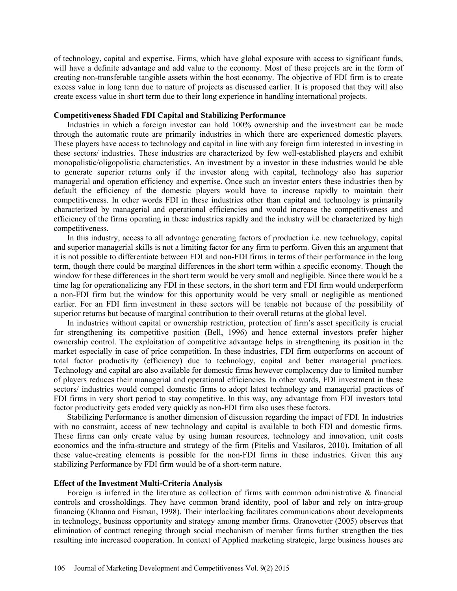of technology, capital and expertise. Firms, which have global exposure with access to significant funds, will have a definite advantage and add value to the economy. Most of these projects are in the form of creating non-transferable tangible assets within the host economy. The objective of FDI firm is to create excess value in long term due to nature of projects as discussed earlier. It is proposed that they will also create excess value in short term due to their long experience in handling international projects.

### **Competitiveness Shaded FDI Capital and Stabilizing Performance**

Industries in which a foreign investor can hold 100% ownership and the investment can be made through the automatic route are primarily industries in which there are experienced domestic players. These players have access to technology and capital in line with any foreign firm interested in investing in these sectors/ industries. These industries are characterized by few well-established players and exhibit monopolistic/oligopolistic characteristics. An investment by a investor in these industries would be able to generate superior returns only if the investor along with capital, technology also has superior managerial and operation efficiency and expertise. Once such an investor enters these industries then by default the efficiency of the domestic players would have to increase rapidly to maintain their competitiveness. In other words FDI in these industries other than capital and technology is primarily characterized by managerial and operational efficiencies and would increase the competitiveness and efficiency of the firms operating in these industries rapidly and the industry will be characterized by high competitiveness.

In this industry, access to all advantage generating factors of production i.e. new technology, capital and superior managerial skills is not a limiting factor for any firm to perform. Given this an argument that it is not possible to differentiate between FDI and non-FDI firms in terms of their performance in the long term, though there could be marginal differences in the short term within a specific economy. Though the window for these differences in the short term would be very small and negligible. Since there would be a time lag for operationalizing any FDI in these sectors, in the short term and FDI firm would underperform a non-FDI firm but the window for this opportunity would be very small or negligible as mentioned earlier. For an FDI firm investment in these sectors will be tenable not because of the possibility of superior returns but because of marginal contribution to their overall returns at the global level.

In industries without capital or ownership restriction, protection of firm's asset specificity is crucial for strengthening its competitive position (Bell, 1996) and hence external investors prefer higher ownership control. The exploitation of competitive advantage helps in strengthening its position in the market especially in case of price competition. In these industries, FDI firm outperforms on account of total factor productivity (efficiency) due to technology, capital and better managerial practices. Technology and capital are also available for domestic firms however complacency due to limited number of players reduces their managerial and operational efficiencies. In other words, FDI investment in these sectors/ industries would compel domestic firms to adopt latest technology and managerial practices of FDI firms in very short period to stay competitive. In this way, any advantage from FDI investors total factor productivity gets eroded very quickly as non-FDI firm also uses these factors.

Stabilizing Performance is another dimension of discussion regarding the impact of FDI. In industries with no constraint, access of new technology and capital is available to both FDI and domestic firms. These firms can only create value by using human resources, technology and innovation, unit costs economics and the infra-structure and strategy of the firm (Pitelis and Vasilaros, 2010). Imitation of all these value-creating elements is possible for the non-FDI firms in these industries. Given this any stabilizing Performance by FDI firm would be of a short-term nature.

#### **Effect of the Investment Multi-Criteria Analysis**

Foreign is inferred in the literature as collection of firms with common administrative & financial controls and crossholdings. They have common brand identity, pool of labor and rely on intra-group financing (Khanna and Fisman, 1998). Their interlocking facilitates communications about developments in technology, business opportunity and strategy among member firms. Granovetter (2005) observes that elimination of contract reneging through social mechanism of member firms further strengthen the ties resulting into increased cooperation. In context of Applied marketing strategic, large business houses are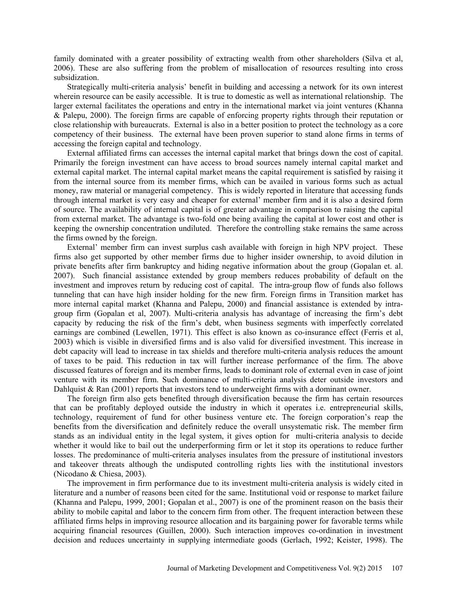family dominated with a greater possibility of extracting wealth from other shareholders (Silva et al, 2006). These are also suffering from the problem of misallocation of resources resulting into cross subsidization.

Strategically multi-criteria analysis' benefit in building and accessing a network for its own interest wherein resource can be easily accessible. It is true to domestic as well as international relationship. The larger external facilitates the operations and entry in the international market via joint ventures (Khanna & Palepu, 2000). The foreign firms are capable of enforcing property rights through their reputation or close relationship with bureaucrats. External is also in a better position to protect the technology as a core competency of their business. The external have been proven superior to stand alone firms in terms of accessing the foreign capital and technology.

External affiliated firms can accesses the internal capital market that brings down the cost of capital. Primarily the foreign investment can have access to broad sources namely internal capital market and external capital market. The internal capital market means the capital requirement is satisfied by raising it from the internal source from its member firms, which can be availed in various forms such as actual money, raw material or managerial competency. This is widely reported in literature that accessing funds through internal market is very easy and cheaper for external' member firm and it is also a desired form of source. The availability of internal capital is of greater advantage in comparison to raising the capital from external market. The advantage is two-fold one being availing the capital at lower cost and other is keeping the ownership concentration undiluted. Therefore the controlling stake remains the same across the firms owned by the foreign.

External' member firm can invest surplus cash available with foreign in high NPV project. These firms also get supported by other member firms due to higher insider ownership, to avoid dilution in private benefits after firm bankruptcy and hiding negative information about the group (Gopalan et. al. 2007). Such financial assistance extended by group members reduces probability of default on the investment and improves return by reducing cost of capital. The intra-group flow of funds also follows tunneling that can have high insider holding for the new firm. Foreign firms in Transition market has more internal capital market (Khanna and Palepu, 2000) and financial assistance is extended by intragroup firm (Gopalan et al, 2007). Multi-criteria analysis has advantage of increasing the firm's debt capacity by reducing the risk of the firm's debt, when business segments with imperfectly correlated earnings are combined (Lewellen, 1971). This effect is also known as co-insurance effect (Ferris et al, 2003) which is visible in diversified firms and is also valid for diversified investment. This increase in debt capacity will lead to increase in tax shields and therefore multi-criteria analysis reduces the amount of taxes to be paid. This reduction in tax will further increase performance of the firm. The above discussed features of foreign and its member firms, leads to dominant role of external even in case of joint venture with its member firm. Such dominance of multi-criteria analysis deter outside investors and Dahlquist  $\&$  Ran (2001) reports that investors tend to underweight firms with a dominant owner.

The foreign firm also gets benefited through diversification because the firm has certain resources that can be profitably deployed outside the industry in which it operates i.e. entrepreneurial skills, technology, requirement of fund for other business venture etc. The foreign corporation's reap the benefits from the diversification and definitely reduce the overall unsystematic risk. The member firm stands as an individual entity in the legal system, it gives option for multi-criteria analysis to decide whether it would like to bail out the underperforming firm or let it stop its operations to reduce further losses. The predominance of multi-criteria analyses insulates from the pressure of institutional investors and takeover threats although the undisputed controlling rights lies with the institutional investors (Nicodano & Chiesa, 2003).

The improvement in firm performance due to its investment multi-criteria analysis is widely cited in literature and a number of reasons been cited for the same. Institutional void or response to market failure (Khanna and Palepu, 1999, 2001; Gopalan et al., 2007) is one of the prominent reason on the basis their ability to mobile capital and labor to the concern firm from other. The frequent interaction between these affiliated firms helps in improving resource allocation and its bargaining power for favorable terms while acquiring financial resources (Guillen, 2000). Such interaction improves co-ordination in investment decision and reduces uncertainty in supplying intermediate goods (Gerlach, 1992; Keister, 1998). The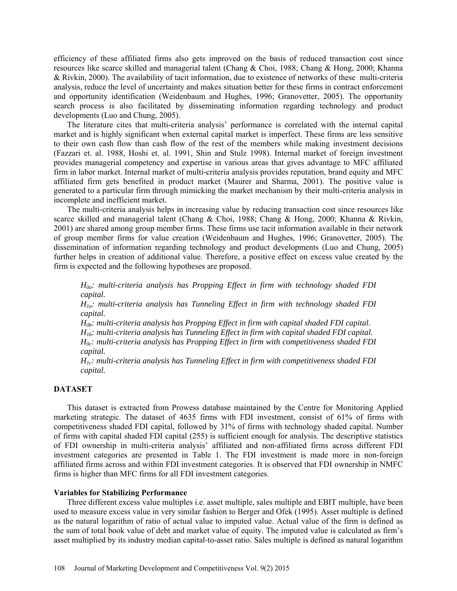efficiency of these affiliated firms also gets improved on the basis of reduced transaction cost since resources like scarce skilled and managerial talent (Chang & Choi, 1988; Chang & Hong, 2000; Khanna & Rivkin, 2000). The availability of tacit information, due to existence of networks of these multi-criteria analysis, reduce the level of uncertainty and makes situation better for these firms in contract enforcement and opportunity identification (Weidenbaum and Hughes, 1996; Granovetter, 2005). The opportunity search process is also facilitated by disseminating information regarding technology and product developments (Luo and Chung, 2005).

The literature cites that multi-criteria analysis' performance is correlated with the internal capital market and is highly significant when external capital market is imperfect. These firms are less sensitive to their own cash flow than cash flow of the rest of the members while making investment decisions (Fazzari et. al. 1988, Hoshi et. al. 1991, Shin and Stulz 1998). Internal market of foreign investment provides managerial competency and expertise in various areas that gives advantage to MFC affiliated firm in labor market. Internal market of multi-criteria analysis provides reputation, brand equity and MFC affiliated firm gets benefited in product market (Maurer and Sharma, 2001). The positive value is generated to a particular firm through mimicking the market mechanism by their multi-criteria analysis in incomplete and inefficient market.

The multi-criteria analysis helps in increasing value by reducing transaction cost since resources like scarce skilled and managerial talent (Chang & Choi, 1988; Chang & Hong, 2000; Khanna & Rivkin, 2001) are shared among group member firms. These firms use tacit information available in their network of group member firms for value creation (Weidenbaum and Hughes, 1996; Granovetter, 2005). The dissemination of information regarding technology and product developments (Luo and Chung, 2005) further helps in creation of additional value. Therefore, a positive effect on excess value created by the firm is expected and the following hypotheses are proposed.

*H0a: multi-criteria analysis has Propping Effect in firm with technology shaded FDI capital.*

*H1a: multi-criteria analysis has Tunneling Effect in firm with technology shaded FDI capital.*

*H0b: multi-criteria analysis has Propping Effect in firm with capital shaded FDI capital. H1b: multi-criteria analysis has Tunneling Effect in firm with capital shaded FDI capital. H0c: multi-criteria analysis has Propping Effect in firm with competitiveness shaded FDI capital.*

*H1c: multi-criteria analysis has Tunneling Effect in firm with competitiveness shaded FDI capital.*

### **DATASET**

This dataset is extracted from Prowess database maintained by the Centre for Monitoring Applied marketing strategic. The dataset of 4635 firms with FDI investment, consist of 61% of firms with competitiveness shaded FDI capital, followed by 31% of firms with technology shaded capital. Number of firms with capital shaded FDI capital (255) is sufficient enough for analysis. The descriptive statistics of FDI ownership in multi-criteria analysis' affiliated and non-affiliated firms across different FDI investment categories are presented in Table 1. The FDI investment is made more in non-foreign affiliated firms across and within FDI investment categories. It is observed that FDI ownership in NMFC firms is higher than MFC firms for all FDI investment categories.

### **Variables for Stabilizing Performance**

Three different excess value multiples i.e. asset multiple, sales multiple and EBIT multiple, have been used to measure excess value in very similar fashion to Berger and Ofek (1995). Asset multiple is defined as the natural logarithm of ratio of actual value to imputed value. Actual value of the firm is defined as the sum of total book value of debt and market value of equity. The imputed value is calculated as firm's asset multiplied by its industry median capital-to-asset ratio. Sales multiple is defined as natural logarithm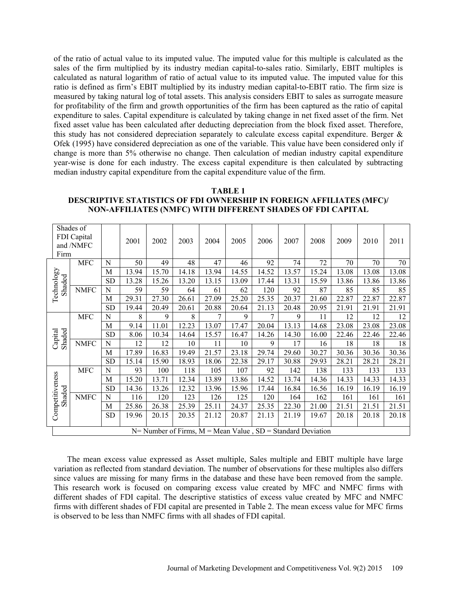of the ratio of actual value to its imputed value. The imputed value for this multiple is calculated as the sales of the firm multiplied by its industry median capital-to-sales ratio. Similarly, EBIT multiples is calculated as natural logarithm of ratio of actual value to its imputed value. The imputed value for this ratio is defined as firm's EBIT multiplied by its industry median capital-to-EBIT ratio. The firm size is measured by taking natural log of total assets. This analysis considers EBIT to sales as surrogate measure for profitability of the firm and growth opportunities of the firm has been captured as the ratio of capital expenditure to sales. Capital expenditure is calculated by taking change in net fixed asset of the firm. Net fixed asset value has been calculated after deducting depreciation from the block fixed asset. Therefore, this study has not considered depreciation separately to calculate excess capital expenditure. Berger & Ofek (1995) have considered depreciation as one of the variable. This value have been considered only if change is more than 5% otherwise no change. Then calculation of median industry capital expenditure year-wise is done for each industry. The excess capital expenditure is then calculated by subtracting median industry capital expenditure from the capital expenditure value of the firm.

# **TABLE 1 DESCRIPTIVE STATISTICS OF FDI OWNERSHIP IN FOREIGN AFFILIATES (MFC)/ NON-AFFILIATES (NMFC) WITH DIFFERENT SHADES OF FDI CAPITAL**

| Shades of<br>FDI Capital<br>and /NMFC<br>Firm |                                                                   |           | 2001  | 2002  | 2003  | 2004  | 2005  | 2006  | 2007  | 2008  | 2009  | 2010  | 2011  |
|-----------------------------------------------|-------------------------------------------------------------------|-----------|-------|-------|-------|-------|-------|-------|-------|-------|-------|-------|-------|
| <b>MFC</b>                                    |                                                                   | N         | 50    | 49    | 48    | 47    | 46    | 92    | 74    | 72    | 70    | 70    | 70    |
|                                               |                                                                   | M         | 13.94 | 15.70 | 14.18 | 13.94 | 14.55 | 14.52 | 13.57 | 15.24 | 13.08 | 13.08 | 13.08 |
| Technology<br>Shaded                          |                                                                   | <b>SD</b> | 13.28 | 15.26 | 13.20 | 13.15 | 13.09 | 17.44 | 13.31 | 15.59 | 13.86 | 13.86 | 13.86 |
|                                               | <b>NMFC</b>                                                       | N         | 59    | 59    | 64    | 61    | 62    | 120   | 92    | 87    | 85    | 85    | 85    |
|                                               |                                                                   | M         | 29.31 | 27.30 | 26.61 | 27.09 | 25.20 | 25.35 | 20.37 | 21.60 | 22.87 | 22.87 | 22.87 |
|                                               |                                                                   | <b>SD</b> | 19.44 | 20.49 | 20.61 | 20.88 | 20.64 | 21.13 | 20.48 | 20.95 | 21.91 | 21.91 | 21.91 |
|                                               | <b>MFC</b>                                                        | N         | 8     | 9     | 8     | 7     | 9     | 7     | 9     | 11    | 12    | 12    | 12    |
|                                               |                                                                   | M         | 9.14  | 11.01 | 12.23 | 13.07 | 17.47 | 20.04 | 13.13 | 14.68 | 23.08 | 23.08 | 23.08 |
| Shaded<br>Capital                             |                                                                   | <b>SD</b> | 8.06  | 10.34 | 14.64 | 15.57 | 16.47 | 14.26 | 14.30 | 16.00 | 22.46 | 22.46 | 22.46 |
|                                               | <b>NMFC</b>                                                       | N         | 12    | 12    | 10    | 11    | 10    | 9     | 17    | 16    | 18    | 18    | 18    |
|                                               |                                                                   | M         | 17.89 | 16.83 | 19.49 | 21.57 | 23.18 | 29.74 | 29.60 | 30.27 | 30.36 | 30.36 | 30.36 |
|                                               |                                                                   | <b>SD</b> | 15.14 | 15.90 | 18.93 | 18.06 | 22.38 | 29.17 | 30.88 | 29.93 | 28.21 | 28.21 | 28.21 |
|                                               | <b>MFC</b>                                                        | N         | 93    | 100   | 118   | 105   | 107   | 92    | 142   | 138   | 133   | 133   | 133   |
| Competitiveness<br>Shaded                     |                                                                   | M         | 15.20 | 13.71 | 12.34 | 13.89 | 13.86 | 14.52 | 13.74 | 14.36 | 14.33 | 14.33 | 14.33 |
|                                               |                                                                   | <b>SD</b> | 14.36 | 13.26 | 12.32 | 13.96 | 15.96 | 17.44 | 16.84 | 16.56 | 16.19 | 16.19 | 16.19 |
|                                               | <b>NMFC</b>                                                       | N         | 116   | 120   | 123   | 126   | 125   | 120   | 164   | 162   | 161   | 161   | 161   |
|                                               |                                                                   | M         | 25.86 | 26.38 | 25.39 | 25.11 | 24.37 | 25.35 | 22.30 | 21.00 | 21.51 | 21.51 | 21.51 |
|                                               |                                                                   | <b>SD</b> | 19.96 | 20.15 | 20.35 | 21.12 | 20.87 | 21.13 | 21.19 | 19.67 | 20.18 | 20.18 | 20.18 |
|                                               | $N=$ Number of Firms, $M =$ Mean Value, $SD =$ Standard Deviation |           |       |       |       |       |       |       |       |       |       |       |       |

The mean excess value expressed as Asset multiple, Sales multiple and EBIT multiple have large variation as reflected from standard deviation. The number of observations for these multiples also differs since values are missing for many firms in the database and these have been removed from the sample. This research work is focused on comparing excess value created by MFC and NMFC firms with different shades of FDI capital. The descriptive statistics of excess value created by MFC and NMFC firms with different shades of FDI capital are presented in Table 2. The mean excess value for MFC firms is observed to be less than NMFC firms with all shades of FDI capital.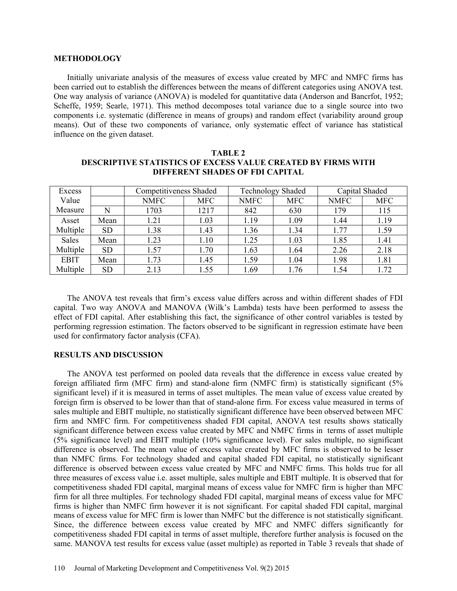### **METHODOLOGY**

Initially univariate analysis of the measures of excess value created by MFC and NMFC firms has been carried out to establish the differences between the means of different categories using ANOVA test. One way analysis of variance (ANOVA) is modeled for quantitative data (Anderson and Bancrfot, 1952; Scheffe, 1959; Searle, 1971). This method decomposes total variance due to a single source into two components i.e. systematic (difference in means of groups) and random effect (variability around group means). Out of these two components of variance, only systematic effect of variance has statistical influence on the given dataset.

| Excess      |           | <b>Competitiveness Shaded</b> |            |             | <b>Technology Shaded</b> | Capital Shaded |            |  |
|-------------|-----------|-------------------------------|------------|-------------|--------------------------|----------------|------------|--|
| Value       |           | <b>NMFC</b>                   | <b>MFC</b> | <b>NMFC</b> | <b>MFC</b>               | <b>NMFC</b>    | <b>MFC</b> |  |
| Measure     | N         | 1703                          | 1217       | 842         | 630                      | 179            | 115        |  |
| Asset       | Mean      | 1.21                          | 1.03       | 1.19        | 1.09                     | 1.44           | 1.19       |  |
| Multiple    | <b>SD</b> | .38                           | 1.43       | 1.36        | 1.34                     | 1.77           | 1.59       |  |
| Sales       | Mean      | .23                           | 1.10       | 1.25        | 1.03                     | 1.85           | 1.41       |  |
| Multiple    | <b>SD</b> | l.57                          | 1.70       | 1.63        | 1.64                     | 2.26           | 2.18       |  |
| <b>EBIT</b> | Mean      | .73                           | l.45       | 1.59        | 1.04                     | 1.98           | 1.81       |  |
| Multiple    | <b>SD</b> | 2.13                          | l.55       | 1.69        | .76                      | 1.54           | 1.72       |  |

# **TABLE 2 DESCRIPTIVE STATISTICS OF EXCESS VALUE CREATED BY FIRMS WITH DIFFERENT SHADES OF FDI CAPITAL**

The ANOVA test reveals that firm's excess value differs across and within different shades of FDI capital. Two way ANOVA and MANOVA (Wilk's Lambda) tests have been performed to assess the effect of FDI capital. After establishing this fact, the significance of other control variables is tested by performing regression estimation. The factors observed to be significant in regression estimate have been used for confirmatory factor analysis (CFA).

### **RESULTS AND DISCUSSION**

The ANOVA test performed on pooled data reveals that the difference in excess value created by foreign affiliated firm (MFC firm) and stand-alone firm (NMFC firm) is statistically significant (5% significant level) if it is measured in terms of asset multiples. The mean value of excess value created by foreign firm is observed to be lower than that of stand-alone firm. For excess value measured in terms of sales multiple and EBIT multiple, no statistically significant difference have been observed between MFC firm and NMFC firm. For competitiveness shaded FDI capital, ANOVA test results shows statically significant difference between excess value created by MFC and NMFC firms in terms of asset multiple (5% significance level) and EBIT multiple (10% significance level). For sales multiple, no significant difference is observed. The mean value of excess value created by MFC firms is observed to be lesser than NMFC firms. For technology shaded and capital shaded FDI capital, no statistically significant difference is observed between excess value created by MFC and NMFC firms. This holds true for all three measures of excess value i.e. asset multiple, sales multiple and EBIT multiple. It is observed that for competitiveness shaded FDI capital, marginal means of excess value for NMFC firm is higher than MFC firm for all three multiples. For technology shaded FDI capital, marginal means of excess value for MFC firms is higher than NMFC firm however it is not significant. For capital shaded FDI capital, marginal means of excess value for MFC firm is lower than NMFC but the difference is not statistically significant. Since, the difference between excess value created by MFC and NMFC differs significantly for competitiveness shaded FDI capital in terms of asset multiple, therefore further analysis is focused on the same. MANOVA test results for excess value (asset multiple) as reported in Table 3 reveals that shade of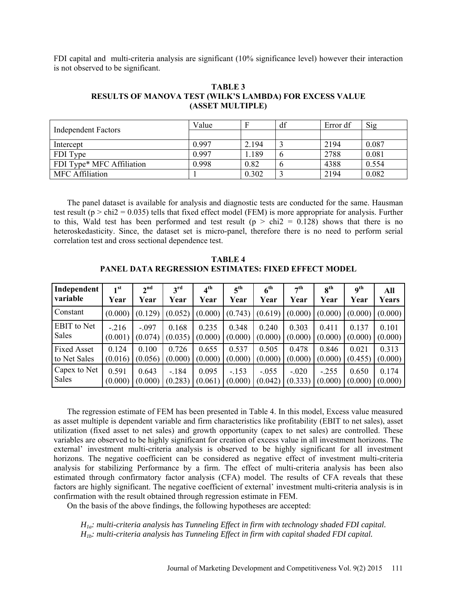FDI capital and multi-criteria analysis are significant (10% significance level) however their interaction is not observed to be significant.

| <b>TABLE 3</b>                                          |
|---------------------------------------------------------|
| RESULTS OF MANOVA TEST (WILK'S LAMBDA) FOR EXCESS VALUE |
| (ASSET MULTIPLE)                                        |

| <b>Independent Factors</b> | Value |       | df          | Error df | Sig   |
|----------------------------|-------|-------|-------------|----------|-------|
|                            |       |       |             |          |       |
| Intercept                  | 0.997 | 2.194 |             | 2194     | 0.087 |
| FDI Type                   | 0.997 | .189  | $\mathbf 0$ | 2788     | 0.081 |
| FDI Type* MFC Affiliation  | 0.998 | 0.82  |             | 4388     | 0.554 |
| <b>MFC</b> Affiliation     |       | 0.302 |             | 2194     | 0.082 |

The panel dataset is available for analysis and diagnostic tests are conducted for the same. Hausman test result ( $p > \text{chi2} = 0.035$ ) tells that fixed effect model (FEM) is more appropriate for analysis. Further to this, Wald test has been performed and test result ( $p > chi2 = 0.128$ ) shows that there is no heteroskedasticity. Since, the dataset set is micro-panel, therefore there is no need to perform serial correlation test and cross sectional dependence test.

**TABLE 4 PANEL DATA REGRESSION ESTIMATES: FIXED EFFECT MODEL**

| Independent        | 1 <sup>st</sup> | 2 <sup>nd</sup> | $3^{\text{rd}}$ | $4^{\text{th}}$ | 5 <sup>th</sup>     | $6^{\rm th}$ | 7 <sup>th</sup> | 8 <sup>th</sup> | $\mathbf{q}^{\text{th}}$ | All     |
|--------------------|-----------------|-----------------|-----------------|-----------------|---------------------|--------------|-----------------|-----------------|--------------------------|---------|
| variable           | Year            | Year            | Year            | Year            | Year                | Year         | Year            | Year            | Year                     | Years   |
| Constant           | (0.000)         | (0.129)         | (0.052)         | (0.000)         | $(0.743)$ $(0.619)$ |              | (0.000)         | (0.000)         | (0.000)                  | (0.000) |
| <b>EBIT</b> to Net | $-.216$         | $-.097$         | 0.168           | 0.235           | 0.348               | 0.240        | 0.303           | 0.411           | 0.137                    | 0.101   |
| Sales              | (0.001)         | (0.074)         | (0.035)         | (0.000)         | (0.000)             | (0.000)      | (0.000)         | (0.000)         | (0.000)                  | (0.000) |
| <b>Fixed Asset</b> | 0.124           | 0.100           | 0.726           | 0.655           | 0.537               | 0.505        | 0.478           | 0.846           | 0.021                    | 0.313   |
| to Net Sales       | (0.016)         | (0.056)         | (0.000)         | (0.000)         | (0.000)             | (0.000)      | (0.000)         | (0.000)         | (0.455)                  | (0.000) |
| Capex to Net       | 0.591           | 0.643           | $-.184$         | 0.095           | $-.153$             | $-.055$      | $-.020$         | $-.255$         | 0.650                    | 0.174   |
| <b>Sales</b>       | (0.000)         | (0.000)         | (0.283)         | (0.061)         | (0.000)             | (0.042)      | (0.333)         | (0.000)         | (0.000)                  | (0.000) |

The regression estimate of FEM has been presented in Table 4. In this model, Excess value measured as asset multiple is dependent variable and firm characteristics like profitability (EBIT to net sales), asset utilization (fixed asset to net sales) and growth opportunity (capex to net sales) are controlled. These variables are observed to be highly significant for creation of excess value in all investment horizons. The external' investment multi-criteria analysis is observed to be highly significant for all investment horizons. The negative coefficient can be considered as negative effect of investment multi-criteria analysis for stabilizing Performance by a firm. The effect of multi-criteria analysis has been also estimated through confirmatory factor analysis (CFA) model. The results of CFA reveals that these factors are highly significant. The negative coefficient of external' investment multi-criteria analysis is in confirmation with the result obtained through regression estimate in FEM.

On the basis of the above findings, the following hypotheses are accepted:

*H1a: multi-criteria analysis has Tunneling Effect in firm with technology shaded FDI capital. H1b: multi-criteria analysis has Tunneling Effect in firm with capital shaded FDI capital.*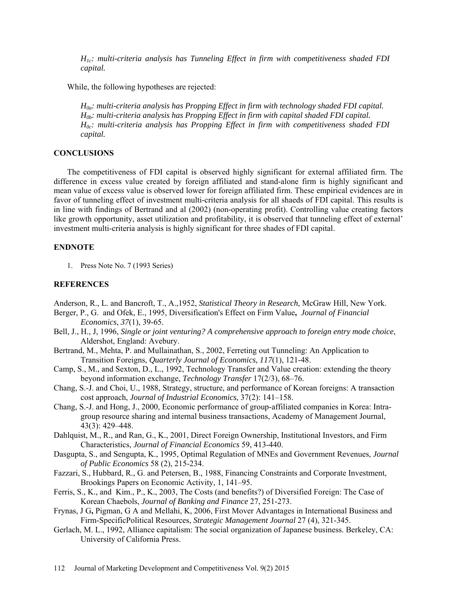*H1c: multi-criteria analysis has Tunneling Effect in firm with competitiveness shaded FDI capital.*

While, the following hypotheses are rejected:

*H0a: multi-criteria analysis has Propping Effect in firm with technology shaded FDI capital. H0b: multi-criteria analysis has Propping Effect in firm with capital shaded FDI capital. H0c: multi-criteria analysis has Propping Effect in firm with competitiveness shaded FDI capital.* 

### **CONCLUSIONS**

The competitiveness of FDI capital is observed highly significant for external affiliated firm. The difference in excess value created by foreign affiliated and stand-alone firm is highly significant and mean value of excess value is observed lower for foreign affiliated firm. These empirical evidences are in favor of tunneling effect of investment multi-criteria analysis for all shaeds of FDI capital. This results is in line with findings of Bertrand and al (2002) (non-operating profit). Controlling value creating factors like growth opportunity, asset utilization and profitability, it is observed that tunneling effect of external' investment multi-criteria analysis is highly significant for three shades of FDI capital.

### **ENDNOTE**

1. Press Note No. 7 (1993 Series)

### **REFERENCES**

Anderson, R., L. and Bancroft, T., A.,1952, *Statistical Theory in Research*, McGraw Hill, New York.

- Berger, P., G. and Ofek, E., 1995, Diversification's Effect on Firm Value**,** *Journal of Financial Economics*, *37*(1), 39-65.
- Bell, J., H., J, 1996, *Single or joint venturing? A comprehensive approach to foreign entry mode choice*, Aldershot, England: Avebury.
- Bertrand, M., Mehta, P. and Mullainathan, S., 2002, Ferreting out Tunneling: An Application to Transition Foreigns, *Quarterly Journal of Economics*, *117*(1), 121-48.
- [Camp,](http://www.sciencedirect.com/science/article/pii/S0923474899000028#bb16) S., M., and Sexton, D., L., 1992, Technology Transfer and Value creation: extending the theory beyond information exchange, *Technology Transfer* 17(2/3), 68–76.
- Chang, S.-J. and Choi, U., 1988, Strategy, structure, and performance of Korean foreigns: A transaction cost approach, *Journal of Industrial Economics*, 37(2): 141–158.
- Chang, S.-J. and Hong, J., 2000, Economic performance of group-affiliated companies in Korea: Intragroup resource sharing and internal business transactions, Academy of Management Journal, 43(3): 429–448.
- Dahlquist, M., R., and Ran, G., K., 2001, Direct Foreign Ownership, Institutional Investors, and Firm Characteristics, *Journal of Financial Economics* 59, 413-440.
- Dasgupta, S., and Sengupta, K., 1995, Optimal Regulation of MNEs and Government Revenues, *[Journal](http://www.sciencedirect.com/science/journal/00472727)  [of Public Economics](http://www.sciencedirect.com/science/journal/00472727)* [58 \(2\),](http://www.sciencedirect.com/science?_ob=PublicationURL&_tockey=%23TOC%235834%231995%23999419997%23182397%23FLP%23&_cdi=5834&_pubType=J&view=c&_auth=y&_acct=C000023778&_version=1&_urlVersion=0&_userid=489944&md5=803615e6a0e711ab6da83a6f9ca4c6ea) 215-234.
- Fazzari, S., Hubbard, R., G. and Petersen, B., 1988, Financing Constraints and Corporate Investment, Brookings Papers on Economic Activity, 1, 141–95.
- Ferris, S., K., and Kim., P., K., 2003, The Costs (and benefits?) of Diversified Foreign: The Case of Korean Chaebols, *Journal of Banking and Finance* 27, 251-273.
- Frynas, J G**,** Pigman, G A and Mellahi, K, 2006, First Mover Advantages in International Business and Firm-SpecificPolitical Resources, *Strategic Management Journal* 27 (4), 321-345.
- Gerlach, M. L., 1992, Alliance capitalism: The social organization of Japanese business. Berkeley, CA: University of California Press.